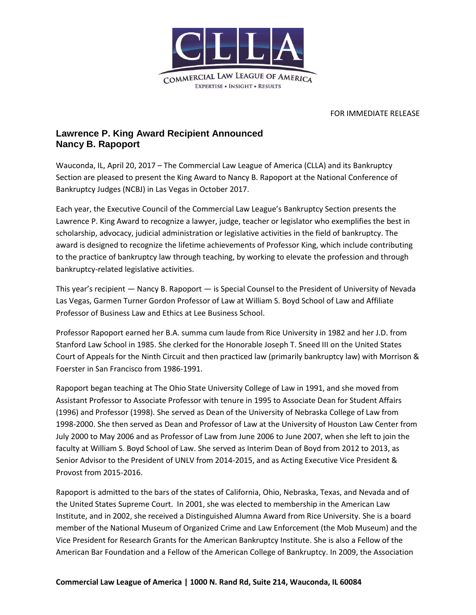

## FOR IMMEDIATE RELEASE

## **Lawrence P. King Award Recipient Announced Nancy B. Rapoport**

Wauconda, IL, April 20, 2017 – The Commercial Law League of America (CLLA) and its Bankruptcy Section are pleased to present the King Award to Nancy B. Rapoport at the National Conference of Bankruptcy Judges (NCBJ) in Las Vegas in October 2017.

Each year, the Executive Council of the Commercial Law League's Bankruptcy Section presents the Lawrence P. King Award to recognize a lawyer, judge, teacher or legislator who exemplifies the best in scholarship, advocacy, judicial administration or legislative activities in the field of bankruptcy. The award is designed to recognize the lifetime achievements of Professor King, which include contributing to the practice of bankruptcy law through teaching, by working to elevate the profession and through bankruptcy-related legislative activities.

This year's recipient — Nancy B. Rapoport — is Special Counsel to the President of University of Nevada Las Vegas, Garmen Turner Gordon Professor of Law at William S. Boyd School of Law and Affiliate Professor of Business Law and Ethics at Lee Business School.

Professor Rapoport earned her B.A. summa cum laude from Rice University in 1982 and her J.D. from Stanford Law School in 1985. She clerked for the Honorable Joseph T. Sneed III on the United States Court of Appeals for the Ninth Circuit and then practiced law (primarily bankruptcy law) with Morrison & Foerster in San Francisco from 1986-1991.

Rapoport began teaching at The Ohio State University College of Law in 1991, and she moved from Assistant Professor to Associate Professor with tenure in 1995 to Associate Dean for Student Affairs (1996) and Professor (1998). She served as Dean of the University of Nebraska College of Law from 1998-2000. She then served as Dean and Professor of Law at the University of Houston Law Center from July 2000 to May 2006 and as Professor of Law from June 2006 to June 2007, when she left to join the faculty at William S. Boyd School of Law. She served as Interim Dean of Boyd from 2012 to 2013, as Senior Advisor to the President of UNLV from 2014-2015, and as Acting Executive Vice President & Provost from 2015-2016.

Rapoport is admitted to the bars of the states of California, Ohio, Nebraska, Texas, and Nevada and of the United States Supreme Court. In 2001, she was elected to membership in the American Law Institute, and in 2002, she received a Distinguished Alumna Award from Rice University. She is a board member of the National Museum of Organized Crime and Law Enforcement (the Mob Museum) and the Vice President for Research Grants for the American Bankruptcy Institute. She is also a Fellow of the American Bar Foundation and a Fellow of the American College of Bankruptcy. In 2009, the Association